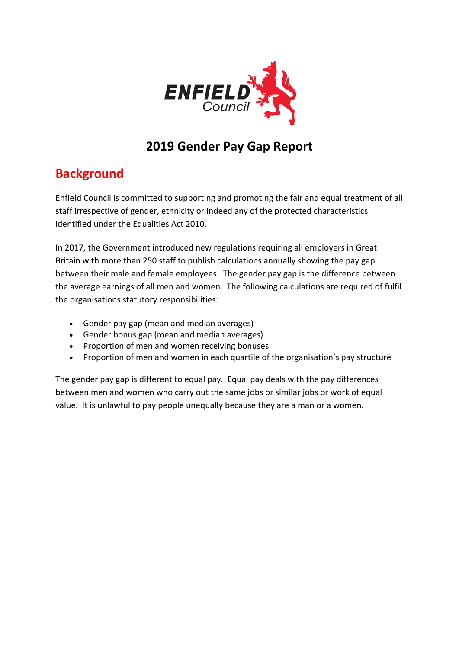

# **2019 Gender Pay Gap Report**

## **Background**

Enfield Council is committed to supporting and promoting the fair and equal treatment of all staff irrespective of gender, ethnicity or indeed any of the protected characteristics identified under the Equalities Act 2010.

In 2017, the Government introduced new regulations requiring all employers in Great Britain with more than 250 staff to publish calculations annually showing the pay gap between their male and female employees. The gender pay gap is the difference between the average earnings of all men and women. The following calculations are required of fulfil the organisations statutory responsibilities:

- Gender pay gap (mean and median averages)
- Gender bonus gap (mean and median averages)
- Proportion of men and women receiving bonuses
- Proportion of men and women in each quartile of the organisation's pay structure

The gender pay gap is different to equal pay. Equal pay deals with the pay differences between men and women who carry out the same jobs or similar jobs or work of equal value. It is unlawful to pay people unequally because they are a man or a women.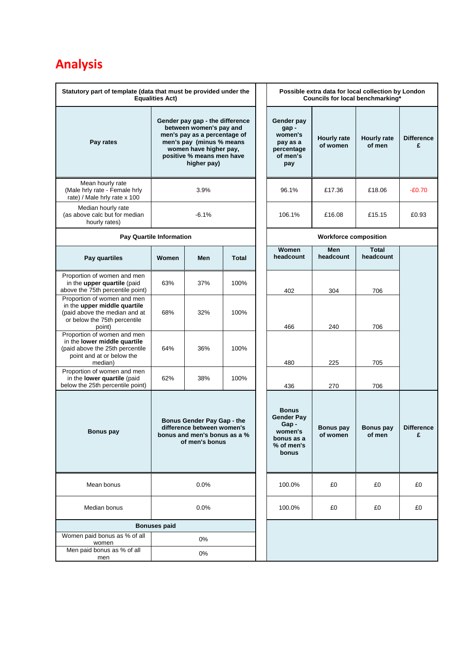# **Analysis**

| Statutory part of template (data that must be provided under the<br><b>Equalities Act)</b>                                             |                                                                                                                                                                                              |     |                                                                            |                                                                                           | Possible extra data for local collection by London<br>Councils for local benchmarking* |                            |                        |
|----------------------------------------------------------------------------------------------------------------------------------------|----------------------------------------------------------------------------------------------------------------------------------------------------------------------------------------------|-----|----------------------------------------------------------------------------|-------------------------------------------------------------------------------------------|----------------------------------------------------------------------------------------|----------------------------|------------------------|
| Pay rates                                                                                                                              | Gender pay gap - the difference<br>between women's pay and<br>men's pay as a percentage of<br>men's pay (minus % means<br>women have higher pay,<br>positive % means men have<br>higher pay) |     | Gender pay<br>gap-<br>women's<br>pay as a<br>percentage<br>of men's<br>pay | <b>Hourly rate</b><br>of women                                                            | <b>Hourly rate</b><br>of men                                                           | <b>Difference</b><br>£     |                        |
| Mean hourly rate<br>(Male hrly rate - Female hrly<br>rate) / Male hrly rate x 100                                                      | 3.9%                                                                                                                                                                                         |     |                                                                            | 96.1%                                                                                     | £17.36                                                                                 | £18.06                     | $-£0.70$               |
| Median hourly rate<br>(as above calc but for median<br>hourly rates)                                                                   | $-6.1%$                                                                                                                                                                                      |     |                                                                            | 106.1%                                                                                    | £16.08                                                                                 | £15.15                     | £0.93                  |
| <b>Pay Quartile Information</b>                                                                                                        |                                                                                                                                                                                              |     | <b>Workforce composition</b>                                               |                                                                                           |                                                                                        |                            |                        |
| Pay quartiles                                                                                                                          | Women                                                                                                                                                                                        | Men | <b>Total</b>                                                               | Women<br>headcount                                                                        | Men<br>headcount                                                                       | <b>Total</b><br>headcount  |                        |
| Proportion of women and men<br>in the upper quartile (paid<br>above the 75th percentile point)                                         | 63%                                                                                                                                                                                          | 37% | 100%                                                                       | 402                                                                                       | 304                                                                                    | 706                        |                        |
| Proportion of women and men<br>in the upper middle quartile<br>(paid above the median and at<br>or below the 75th percentile<br>point) | 68%                                                                                                                                                                                          | 32% | 100%                                                                       | 466                                                                                       | 240                                                                                    | 706                        |                        |
| Proportion of women and men<br>in the lower middle quartile<br>(paid above the 25th percentile<br>point and at or below the<br>median) | 64%                                                                                                                                                                                          | 36% | 100%                                                                       | 480                                                                                       | 225                                                                                    | 705                        |                        |
| Proportion of women and men<br>in the lower quartile (paid<br>below the 25th percentile point)                                         | 62%                                                                                                                                                                                          | 38% | 100%                                                                       | 436                                                                                       | 270                                                                                    | 706                        |                        |
| <b>Bonus pay</b>                                                                                                                       | Bonus Gender Pay Gap - the<br>difference between women's<br>bonus and men's bonus as a %<br>of men's bonus                                                                                   |     |                                                                            | <b>Bonus</b><br><b>Gender Pay</b><br>Gap-<br>women's<br>bonus as a<br>% of men's<br>bonus | <b>Bonus pay</b><br>of women                                                           | <b>Bonus pay</b><br>of men | <b>Difference</b><br>£ |
| Mean bonus                                                                                                                             | 0.0%                                                                                                                                                                                         |     | 100.0%                                                                     | £0                                                                                        | £0                                                                                     | £0                         |                        |
| Median bonus                                                                                                                           | 0.0%                                                                                                                                                                                         |     |                                                                            | 100.0%                                                                                    | £0                                                                                     | £0                         | £0                     |
| <b>Bonuses paid</b>                                                                                                                    |                                                                                                                                                                                              |     |                                                                            |                                                                                           |                                                                                        |                            |                        |
| Women paid bonus as % of all<br>women                                                                                                  | 0%                                                                                                                                                                                           |     |                                                                            |                                                                                           |                                                                                        |                            |                        |
| Men paid bonus as % of all<br>men                                                                                                      | 0%                                                                                                                                                                                           |     |                                                                            |                                                                                           |                                                                                        |                            |                        |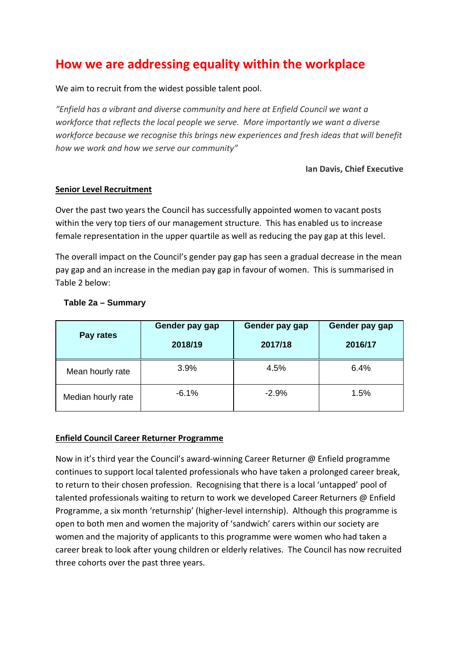### **How we are addressing equality within the workplace**

We aim to recruit from the widest possible talent pool.

*"Enfield has a vibrant and diverse community and here at Enfield Council we want a workforce that reflects the local people we serve. More importantly we want a diverse workforce because we recognise this brings new experiences and fresh ideas that will benefit how we work and how we serve our community"*

#### **Ian Davis, Chief Executive**

#### **Senior Level Recruitment**

Over the past two years the Council has successfully appointed women to vacant posts within the very top tiers of our management structure. This has enabled us to increase female representation in the upper quartile as well as reducing the pay gap at this level.

The overall impact on the Council's gender pay gap has seen a gradual decrease in the mean pay gap and an increase in the median pay gap in favour of women. This is summarised in Table 2 below:

| Pay rates          | Gender pay gap<br>2018/19 | Gender pay gap<br>2017/18 | Gender pay gap<br>2016/17 |
|--------------------|---------------------------|---------------------------|---------------------------|
| Mean hourly rate   | 3.9%                      | 4.5%                      | 6.4%                      |
| Median hourly rate | $-6.1%$                   | $-2.9%$                   | 1.5%                      |

#### **Table 2a – Summary**

#### **Enfield Council Career Returner Programme**

Now in it's third year the Council's award-winning Career Returner @ Enfield programme continues to support local talented professionals who have taken a prolonged career break, to return to their chosen profession. Recognising that there is a local 'untapped' pool of talented professionals waiting to return to work we developed Career Returners @ Enfield Programme, a six month 'returnship' (higher-level internship). Although this programme is open to both men and women the majority of 'sandwich' carers within our society are women and the majority of applicants to this programme were women who had taken a career break to look after young children or elderly relatives. The Council has now recruited three cohorts over the past three years.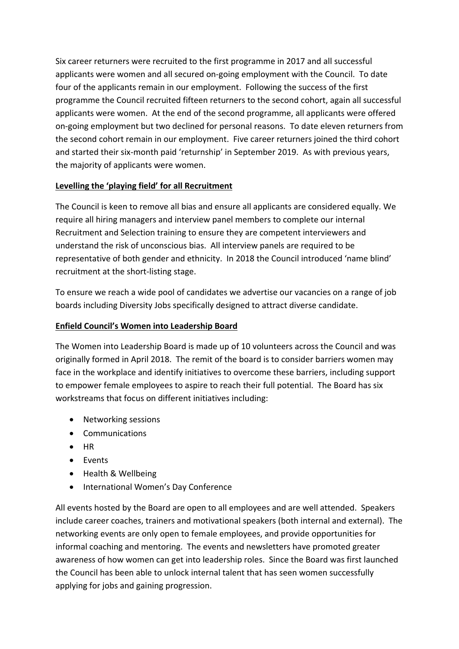Six career returners were recruited to the first programme in 2017 and all successful applicants were women and all secured on-going employment with the Council. To date four of the applicants remain in our employment. Following the success of the first programme the Council recruited fifteen returners to the second cohort, again all successful applicants were women. At the end of the second programme, all applicants were offered on-going employment but two declined for personal reasons. To date eleven returners from the second cohort remain in our employment. Five career returners joined the third cohort and started their six-month paid 'returnship' in September 2019. As with previous years, the majority of applicants were women.

#### **Levelling the 'playing field' for all Recruitment**

The Council is keen to remove all bias and ensure all applicants are considered equally. We require all hiring managers and interview panel members to complete our internal Recruitment and Selection training to ensure they are competent interviewers and understand the risk of unconscious bias. All interview panels are required to be representative of both gender and ethnicity. In 2018 the Council introduced 'name blind' recruitment at the short-listing stage.

To ensure we reach a wide pool of candidates we advertise our vacancies on a range of job boards including Diversity Jobs specifically designed to attract diverse candidate.

#### **Enfield Council's Women into Leadership Board**

The Women into Leadership Board is made up of 10 volunteers across the Council and was originally formed in April 2018. The remit of the board is to consider barriers women may face in the workplace and identify initiatives to overcome these barriers, including support to empower female employees to aspire to reach their full potential. The Board has six workstreams that focus on different initiatives including:

- Networking sessions
- Communications
- HR
- Events
- Health & Wellbeing
- International Women's Day Conference

All events hosted by the Board are open to all employees and are well attended. Speakers include career coaches, trainers and motivational speakers (both internal and external). The networking events are only open to female employees, and provide opportunities for informal coaching and mentoring. The events and newsletters have promoted greater awareness of how women can get into leadership roles. Since the Board was first launched the Council has been able to unlock internal talent that has seen women successfully applying for jobs and gaining progression.